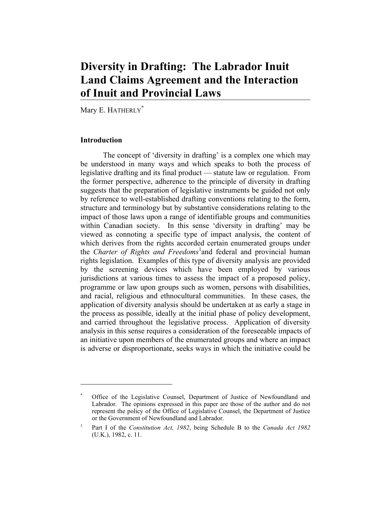# **Diversity in Drafting: The Labrador Inuit Land Claims Agreement and the Interaction of Inuit and Provincial Laws**

Mary E. HATHERLY<sup>\*</sup>

## **Introduction**

 The concept of 'diversity in drafting' is a complex one which may be understood in many ways and which speaks to both the process of legislative drafting and its final product — statute law or regulation. From the former perspective, adherence to the principle of diversity in drafting suggests that the preparation of legislative instruments be guided not only by reference to well-established drafting conventions relating to the form, structure and terminology but by substantive considerations relating to the impact of those laws upon a range of identifiable groups and communities within Canadian society. In this sense 'diversity in drafting' may be viewed as connoting a specific type of impact analysis, the content of which derives from the rights accorded certain enumerated groups under the *Charter of Rights and Freedoms*<sup>1</sup> and federal and provincial human rights legislation. Examples of this type of diversity analysis are provided by the screening devices which have been employed by various jurisdictions at various times to assess the impact of a proposed policy, programme or law upon groups such as women, persons with disabilities, and racial, religious and ethnocultural communities. In these cases, the application of diversity analysis should be undertaken at as early a stage in the process as possible, ideally at the initial phase of policy development, and carried throughout the legislative process. Application of diversity analysis in this sense requires a consideration of the foreseeable impacts of an initiative upon members of the enumerated groups and where an impact is adverse or disproportionate, seeks ways in which the initiative could be

<sup>\*</sup> Office of the Legislative Counsel, Department of Justice of Newfoundland and Labrador. The opinions expressed in this paper are those of the author and do not represent the policy of the Office of Legislative Counsel, the Department of Justice or the Government of Newfoundland and Labrador.

<sup>1</sup> Part I of the *Constitution Act, 1982*, being Schedule B to the *Canada Act 1982* (U.K.), 1982, c. 11.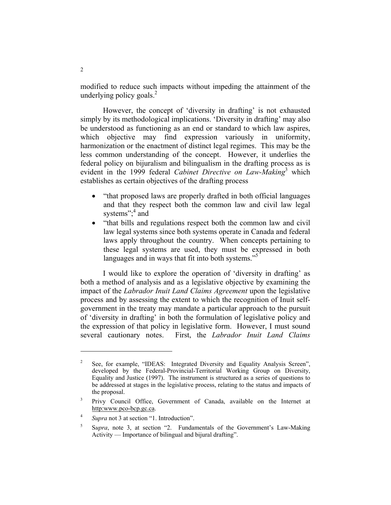modified to reduce such impacts without impeding the attainment of the underlying policy goals. $^{2}$ 

 However, the concept of 'diversity in drafting' is not exhausted simply by its methodological implications. 'Diversity in drafting' may also be understood as functioning as an end or standard to which law aspires, which objective may find expression variously in uniformity, harmonization or the enactment of distinct legal regimes. This may be the less common understanding of the concept. However, it underlies the federal policy on bijuralism and bilingualism in the drafting process as is evident in the 1999 federal *Cabinet Directive on Law-Making*<sup>3</sup> which establishes as certain objectives of the drafting process

- "that proposed laws are properly drafted in both official languages and that they respect both the common law and civil law legal systems"; $4$  and
- "that bills and regulations respect both the common law and civil law legal systems since both systems operate in Canada and federal laws apply throughout the country. When concepts pertaining to these legal systems are used, they must be expressed in both languages and in ways that fit into both systems."<sup>5</sup>

 I would like to explore the operation of 'diversity in drafting' as both a method of analysis and as a legislative objective by examining the impact of the *Labrador Inuit Land Claims Agreement* upon the legislative process and by assessing the extent to which the recognition of Inuit selfgovernment in the treaty may mandate a particular approach to the pursuit of 'diversity in drafting' in both the formulation of legislative policy and the expression of that policy in legislative form. However, I must sound several cautionary notes. First, the *Labrador Inuit Land Claims* 

<sup>2</sup> See, for example, "IDEAS: Integrated Diversity and Equality Analysis Screen", developed by the Federal-Provincial-Territorial Working Group on Diversity, Equality and Justice (1997). The instrument is structured as a series of questions to be addressed at stages in the legislative process, relating to the status and impacts of the proposal.

<sup>3</sup> Privy Council Office, Government of Canada, available on the Internet at http:www.pco-bcp.gc.ca.

<sup>4</sup> *Supra* not 3 at section "1. Introduction".

<sup>5</sup> S*upra*, note 3, at section "2. Fundamentals of the Government's Law-Making Activity — Importance of bilingual and bijural drafting".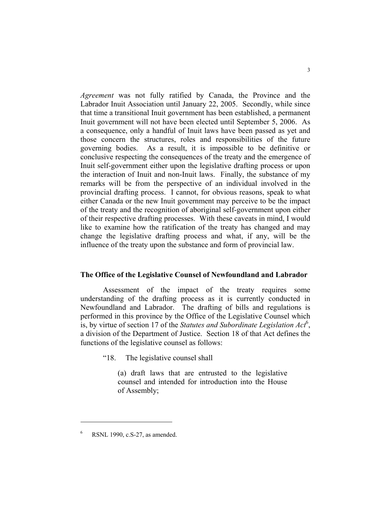*Agreement* was not fully ratified by Canada, the Province and the Labrador Inuit Association until January 22, 2005. Secondly, while since that time a transitional Inuit government has been established, a permanent Inuit government will not have been elected until September 5, 2006. As a consequence, only a handful of Inuit laws have been passed as yet and those concern the structures, roles and responsibilities of the future governing bodies. As a result, it is impossible to be definitive or conclusive respecting the consequences of the treaty and the emergence of Inuit self-government either upon the legislative drafting process or upon the interaction of Inuit and non-Inuit laws. Finally, the substance of my remarks will be from the perspective of an individual involved in the provincial drafting process. I cannot, for obvious reasons, speak to what either Canada or the new Inuit government may perceive to be the impact of the treaty and the recognition of aboriginal self-government upon either of their respective drafting processes. With these caveats in mind, I would like to examine how the ratification of the treaty has changed and may change the legislative drafting process and what, if any, will be the influence of the treaty upon the substance and form of provincial law.

#### **The Office of the Legislative Counsel of Newfoundland and Labrador**

 Assessment of the impact of the treaty requires some understanding of the drafting process as it is currently conducted in Newfoundland and Labrador. The drafting of bills and regulations is performed in this province by the Office of the Legislative Counsel which is, by virtue of section 17 of the *Statutes and Subordinate Legislation Act*<sup>6</sup>, a division of the Department of Justice. Section 18 of that Act defines the functions of the legislative counsel as follows:

"18. The legislative counsel shall

(a) draft laws that are entrusted to the legislative counsel and intended for introduction into the House of Assembly;

<sup>6</sup> RSNL 1990, c.S-27, as amended.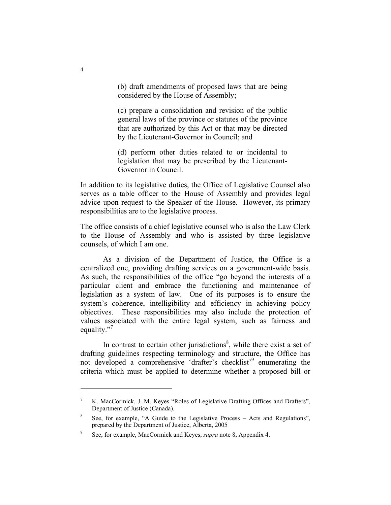(b) draft amendments of proposed laws that are being considered by the House of Assembly;

(c) prepare a consolidation and revision of the public general laws of the province or statutes of the province that are authorized by this Act or that may be directed by the Lieutenant-Governor in Council; and

(d) perform other duties related to or incidental to legislation that may be prescribed by the Lieutenant-Governor in Council.

In addition to its legislative duties, the Office of Legislative Counsel also serves as a table officer to the House of Assembly and provides legal advice upon request to the Speaker of the House. However, its primary responsibilities are to the legislative process.

The office consists of a chief legislative counsel who is also the Law Clerk to the House of Assembly and who is assisted by three legislative counsels, of which I am one.

 As a division of the Department of Justice, the Office is a centralized one, providing drafting services on a government-wide basis. As such, the responsibilities of the office "go beyond the interests of a particular client and embrace the functioning and maintenance of legislation as a system of law. One of its purposes is to ensure the system's coherence, intelligibility and efficiency in achieving policy objectives. These responsibilities may also include the protection of values associated with the entire legal system, such as fairness and equality."<sup>7</sup>

In contrast to certain other jurisdictions<sup>8</sup>, while there exist a set of drafting guidelines respecting terminology and structure, the Office has not developed a comprehensive 'drafter's checklist'<sup>9</sup> enumerating the criteria which must be applied to determine whether a proposed bill or

<sup>7</sup> K. MacCormick, J. M. Keyes "Roles of Legislative Drafting Offices and Drafters", Department of Justice (Canada).

<sup>8</sup> See, for example, "A Guide to the Legislative Process – Acts and Regulations", prepared by the Department of Justice, Alberta, 2005

<sup>9</sup> See, for example, MacCormick and Keyes, *supra* note 8, Appendix 4.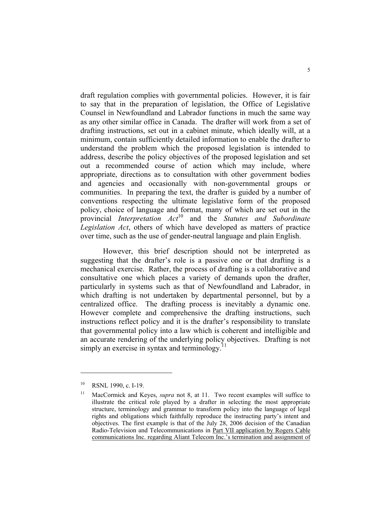draft regulation complies with governmental policies. However, it is fair to say that in the preparation of legislation, the Office of Legislative Counsel in Newfoundland and Labrador functions in much the same way as any other similar office in Canada. The drafter will work from a set of drafting instructions, set out in a cabinet minute, which ideally will, at a minimum, contain sufficiently detailed information to enable the drafter to understand the problem which the proposed legislation is intended to address, describe the policy objectives of the proposed legislation and set out a recommended course of action which may include, where appropriate, directions as to consultation with other government bodies and agencies and occasionally with non-governmental groups or communities. In preparing the text, the drafter is guided by a number of conventions respecting the ultimate legislative form of the proposed policy, choice of language and format, many of which are set out in the provincial *Interpretation Act*10 and the *Statutes and Subordinate Legislation Act*, others of which have developed as matters of practice over time, such as the use of gender-neutral language and plain English.

 However, this brief description should not be interpreted as suggesting that the drafter's role is a passive one or that drafting is a mechanical exercise. Rather, the process of drafting is a collaborative and consultative one which places a variety of demands upon the drafter, particularly in systems such as that of Newfoundland and Labrador, in which drafting is not undertaken by departmental personnel, but by a centralized office. The drafting process is inevitably a dynamic one. However complete and comprehensive the drafting instructions, such instructions reflect policy and it is the drafter's responsibility to translate that governmental policy into a law which is coherent and intelligible and an accurate rendering of the underlying policy objectives. Drafting is not simply an exercise in syntax and terminology.<sup>11</sup>

<sup>&</sup>lt;sup>10</sup> RSNL 1990, c. I-19.

<sup>&</sup>lt;sup>11</sup> MacCormick and Keyes, *supra* not 8, at 11. Two recent examples will suffice to illustrate the critical role played by a drafter in selecting the most appropriate structure, terminology and grammar to transform policy into the language of legal rights and obligations which faithfully reproduce the instructing party's intent and objectives. The first example is that of the July 28, 2006 decision of the Canadian Radio-Television and Telecommunications in Part VII application by Rogers Cable communications Inc. regarding Aliant Telecom Inc.'s termination and assignment of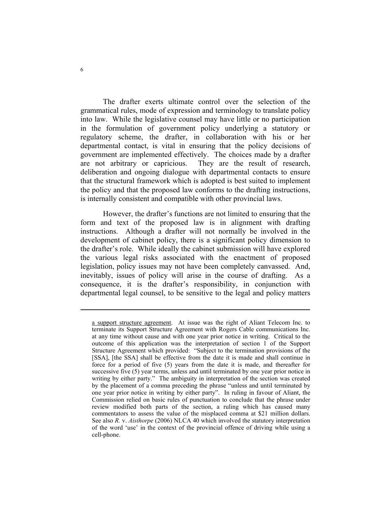The drafter exerts ultimate control over the selection of the grammatical rules, mode of expression and terminology to translate policy into law. While the legislative counsel may have little or no participation in the formulation of government policy underlying a statutory or regulatory scheme, the drafter, in collaboration with his or her departmental contact, is vital in ensuring that the policy decisions of government are implemented effectively. The choices made by a drafter are not arbitrary or capricious. They are the result of research, deliberation and ongoing dialogue with departmental contacts to ensure that the structural framework which is adopted is best suited to implement the policy and that the proposed law conforms to the drafting instructions, is internally consistent and compatible with other provincial laws.

 However, the drafter's functions are not limited to ensuring that the form and text of the proposed law is in alignment with drafting instructions. Although a drafter will not normally be involved in the development of cabinet policy, there is a significant policy dimension to the drafter's role. While ideally the cabinet submission will have explored the various legal risks associated with the enactment of proposed legislation, policy issues may not have been completely canvassed. And, inevitably, issues of policy will arise in the course of drafting. As a consequence, it is the drafter's responsibility, in conjunction with departmental legal counsel, to be sensitive to the legal and policy matters

a support structure agreement. At issue was the right of Aliant Telecom Inc. to terminate its Support Structure Agreement with Rogers Cable communications Inc. at any time without cause and with one year prior notice in writing. Critical to the outcome of this application was the interpretation of section 1 of the Support Structure Agreement which provided: "Subject to the termination provisions of the [SSA], [the SSA] shall be effective from the date it is made and shall continue in force for a period of five (5) years from the date it is made, and thereafter for successive five (5) year terms, unless and until terminated by one year prior notice in writing by either party." The ambiguity in interpretation of the section was created by the placement of a comma preceding the phrase "unless and until terminated by one year prior notice in writing by either party". In ruling in favour of Aliant, the Commission relied on basic rules of punctuation to conclude that the phrase under review modified both parts of the section, a ruling which has caused many commentators to assess the value of the misplaced comma at \$21 million dollars. See also *R.* v. *Aisthorpe* (2006) NLCA 40 which involved the statutory interpretation of the word 'use' in the context of the provincial offence of driving while using a cell-phone.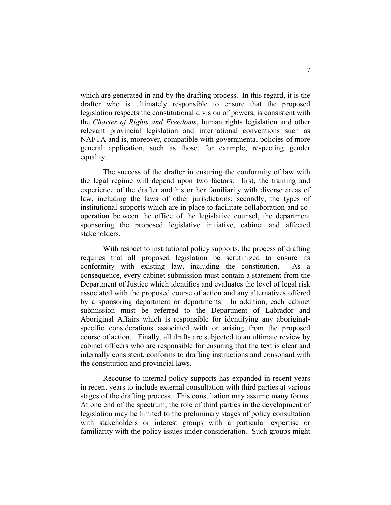which are generated in and by the drafting process. In this regard, it is the drafter who is ultimately responsible to ensure that the proposed legislation respects the constitutional division of powers, is consistent with the *Charter of Rights and Freedoms*, human rights legislation and other relevant provincial legislation and international conventions such as NAFTA and is, moreover, compatible with governmental policies of more general application, such as those, for example, respecting gender equality.

 The success of the drafter in ensuring the conformity of law with the legal regime will depend upon two factors: first, the training and experience of the drafter and his or her familiarity with diverse areas of law, including the laws of other jurisdictions; secondly, the types of institutional supports which are in place to facilitate collaboration and cooperation between the office of the legislative counsel, the department sponsoring the proposed legislative initiative, cabinet and affected stakeholders.

 With respect to institutional policy supports, the process of drafting requires that all proposed legislation be scrutinized to ensure its conformity with existing law, including the constitution. As a consequence, every cabinet submission must contain a statement from the Department of Justice which identifies and evaluates the level of legal risk associated with the proposed course of action and any alternatives offered by a sponsoring department or departments. In addition, each cabinet submission must be referred to the Department of Labrador and Aboriginal Affairs which is responsible for identifying any aboriginalspecific considerations associated with or arising from the proposed course of action. Finally, all drafts are subjected to an ultimate review by cabinet officers who are responsible for ensuring that the text is clear and internally consistent, conforms to drafting instructions and consonant with the constitution and provincial laws.

 Recourse to internal policy supports has expanded in recent years in recent years to include external consultation with third parties at various stages of the drafting process. This consultation may assume many forms. At one end of the spectrum, the role of third parties in the development of legislation may be limited to the preliminary stages of policy consultation with stakeholders or interest groups with a particular expertise or familiarity with the policy issues under consideration. Such groups might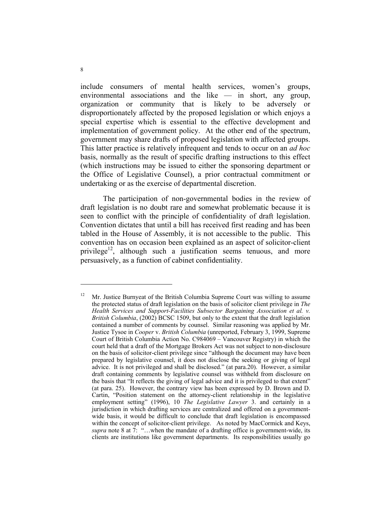include consumers of mental health services, women's groups, environmental associations and the like — in short, any group, organization or community that is likely to be adversely or disproportionately affected by the proposed legislation or which enjoys a special expertise which is essential to the effective development and implementation of government policy. At the other end of the spectrum, government may share drafts of proposed legislation with affected groups. This latter practice is relatively infrequent and tends to occur on an *ad hoc* basis, normally as the result of specific drafting instructions to this effect (which instructions may be issued to either the sponsoring department or the Office of Legislative Counsel), a prior contractual commitment or undertaking or as the exercise of departmental discretion.

 The participation of non-governmental bodies in the review of draft legislation is no doubt rare and somewhat problematic because it is seen to conflict with the principle of confidentiality of draft legislation. Convention dictates that until a bill has received first reading and has been tabled in the House of Assembly, it is not accessible to the public. This convention has on occasion been explained as an aspect of solicitor-client privilege<sup>12</sup>, although such a justification seems tenuous, and more persuasively, as a function of cabinet confidentiality.

<sup>12</sup> Mr. Justice Burnyeat of the British Columbia Supreme Court was willing to assume the protected status of draft legislation on the basis of solicitor client privilege in *The Health Services and Support-Facilities Subsector Bargaining Association et al. v. British Columbia*, (2002) BCSC 1509, but only to the extent that the draft legislation contained a number of comments by counsel. Similar reasoning was applied by Mr. Justice Tysoe in *Cooper* v. *British Columbia* (unreported, February 3, 1999, Supreme Court of British Columbia Action No. C984069 – Vancouver Registry) in which the court held that a draft of the Mortgage Brokers Act was not subject to non-disclosure on the basis of solicitor-client privilege since "although the document may have been prepared by legislative counsel, it does not disclose the seeking or giving of legal advice. It is not privileged and shall be disclosed." (at para.20). However, a similar draft containing comments by legislative counsel was withheld from disclosure on the basis that "It reflects the giving of legal advice and it is privileged to that extent" (at para. 25). However, the contrary view has been expressed by D. Brown and D. Cartin, "Position statement on the attorney-client relationship in the legislative employment setting" (1996), 10 *The Legislative Lawyer* 3. and certainly in a jurisdiction in which drafting services are centralized and offered on a governmentwide basis, it would be difficult to conclude that draft legislation is encompassed within the concept of solicitor-client privilege. As noted by MacCormick and Keys, *supra* note 8 at 7: "…when the mandate of a drafting office is government-wide, its clients are institutions like government departments. Its responsibilities usually go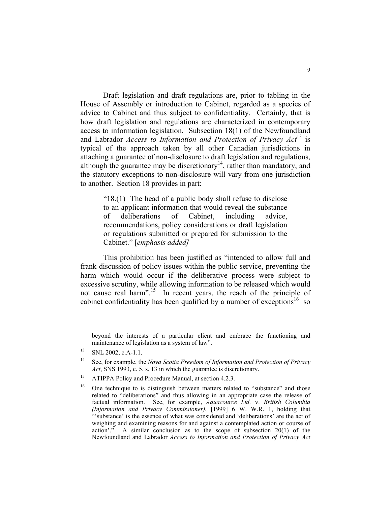Draft legislation and draft regulations are, prior to tabling in the House of Assembly or introduction to Cabinet, regarded as a species of advice to Cabinet and thus subject to confidentiality. Certainly, that is how draft legislation and regulations are characterized in contemporary access to information legislation. Subsection 18(1) of the Newfoundland and Labrador *Access to Information and Protection of Privacy Act*13 is typical of the approach taken by all other Canadian jurisdictions in attaching a guarantee of non-disclosure to draft legislation and regulations, although the guarantee may be discretionary<sup>14</sup>, rather than mandatory, and the statutory exceptions to non-disclosure will vary from one jurisdiction to another. Section 18 provides in part:

"18.(1) The head of a public body shall refuse to disclose to an applicant information that would reveal the substance of deliberations of Cabinet, including advice, recommendations, policy considerations or draft legislation or regulations submitted or prepared for submission to the Cabinet." [*emphasis added]*

This prohibition has been justified as "intended to allow full and frank discussion of policy issues within the public service, preventing the harm which would occur if the deliberative process were subject to excessive scrutiny, while allowing information to be released which would not cause real harm".<sup>15</sup> In recent years, the reach of the principle of cabinet confidentiality has been qualified by a number of exceptions<sup>16</sup> so

beyond the interests of a particular client and embrace the functioning and maintenance of legislation as a system of law".

 $^{13}$  SNL 2002, c.A-1.1.

<sup>14</sup> See, for example, the *Nova Scotia Freedom of Information and Protection of Privacy Act*, SNS 1993, c. 5, s. 13 in which the guarantee is discretionary.

<sup>&</sup>lt;sup>15</sup> ATIPPA Policy and Procedure Manual, at section 4.2.3.

<sup>&</sup>lt;sup>16</sup> One technique to is distinguish between matters related to "substance" and those related to "deliberations" and thus allowing in an appropriate case the release of factual information. See, for example, *Aquacource Ltd.* v. *British Columbia (Information and Privacy Commissioner)*, [1999] 6 W. W.R. 1, holding that "'substance' is the essence of what was considered and 'deliberations' are the act of weighing and examining reasons for and against a contemplated action or course of action'." A similar conclusion as to the scope of subsection 20(1) of the Newfoundland and Labrador *Access to Information and Protection of Privacy Act*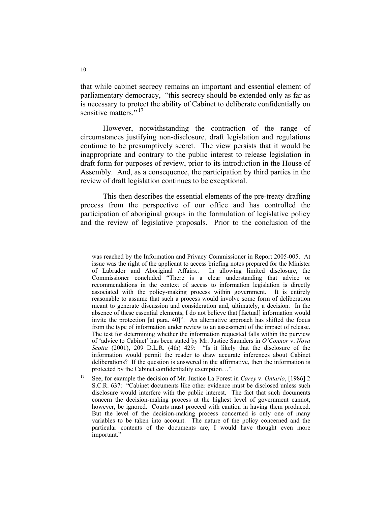that while cabinet secrecy remains an important and essential element of parliamentary democracy, "this secrecy should be extended only as far as is necessary to protect the ability of Cabinet to deliberate confidentially on sensitive matters."<sup>17</sup>

 However, notwithstanding the contraction of the range of circumstances justifying non-disclosure, draft legislation and regulations continue to be presumptively secret. The view persists that it would be inappropriate and contrary to the public interest to release legislation in draft form for purposes of review, prior to its introduction in the House of Assembly. And, as a consequence, the participation by third parties in the review of draft legislation continues to be exceptional.

 This then describes the essential elements of the pre-treaty drafting process from the perspective of our office and has controlled the participation of aboriginal groups in the formulation of legislative policy and the review of legislative proposals. Prior to the conclusion of the

was reached by the Information and Privacy Commissioner in Report 2005-005. At issue was the right of the applicant to access briefing notes prepared for the Minister of Labrador and Aboriginal Affairs.. In allowing limited disclosure, the Commissioner concluded "There is a clear understanding that advice or recommendations in the context of access to information legislation is directly associated with the policy-making process within government. It is entirely reasonable to assume that such a process would involve some form of deliberation meant to generate discussion and consideration and, ultimately, a decision. In the absence of these essential elements, I do not believe that [factual] information would invite the protection [at para. 40]". An alternative approach has shifted the focus from the type of information under review to an assessment of the impact of release. The test for determining whether the information requested falls within the purview of 'advice to Cabinet' has been stated by Mr. Justice Saunders in *O'Connor* v. *Nova Scotia* (2001), 209 D.L.R. (4th) 429: "Is it likely that the disclosure of the information would permit the reader to draw accurate inferences about Cabinet deliberations? If the question is answered in the affirmative, then the information is protected by the Cabinet confidentiality exemption…".

<sup>17</sup> See, for example the decision of Mr. Justice La Forest in *Carey* v. *Ontario*, [1986] 2 S.C.R. 637: "Cabinet documents like other evidence must be disclosed unless such disclosure would interfere with the public interest. The fact that such documents concern the decision-making process at the highest level of government cannot, however, be ignored. Courts must proceed with caution in having them produced. But the level of the decision-making process concerned is only one of many variables to be taken into account. The nature of the policy concerned and the particular contents of the documents are, I would have thought even more important."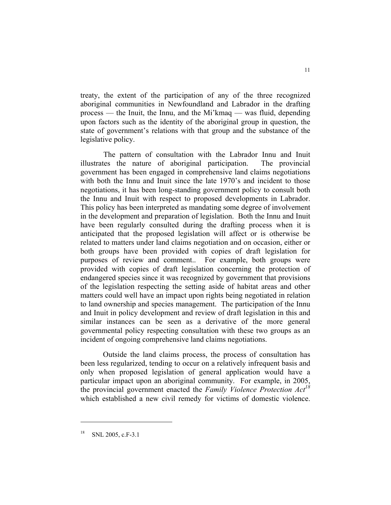treaty, the extent of the participation of any of the three recognized aboriginal communities in Newfoundland and Labrador in the drafting process — the Inuit, the Innu, and the Mi'kmaq — was fluid, depending upon factors such as the identity of the aboriginal group in question, the state of government's relations with that group and the substance of the legislative policy.

The pattern of consultation with the Labrador Innu and Inuit illustrates the nature of aboriginal participation. The provincial government has been engaged in comprehensive land claims negotiations with both the Innu and Inuit since the late 1970's and incident to those negotiations, it has been long-standing government policy to consult both the Innu and Inuit with respect to proposed developments in Labrador. This policy has been interpreted as mandating some degree of involvement in the development and preparation of legislation. Both the Innu and Inuit have been regularly consulted during the drafting process when it is anticipated that the proposed legislation will affect or is otherwise be related to matters under land claims negotiation and on occasion, either or both groups have been provided with copies of draft legislation for purposes of review and comment.. For example, both groups were provided with copies of draft legislation concerning the protection of endangered species since it was recognized by government that provisions of the legislation respecting the setting aside of habitat areas and other matters could well have an impact upon rights being negotiated in relation to land ownership and species management. The participation of the Innu and Inuit in policy development and review of draft legislation in this and similar instances can be seen as a derivative of the more general governmental policy respecting consultation with these two groups as an incident of ongoing comprehensive land claims negotiations.

 Outside the land claims process, the process of consultation has been less regularized, tending to occur on a relatively infrequent basis and only when proposed legislation of general application would have a particular impact upon an aboriginal community. For example, in 2005, the provincial government enacted the *Family Violence Protection Act18* which established a new civil remedy for victims of domestic violence.

SNL 2005, c.F-3.1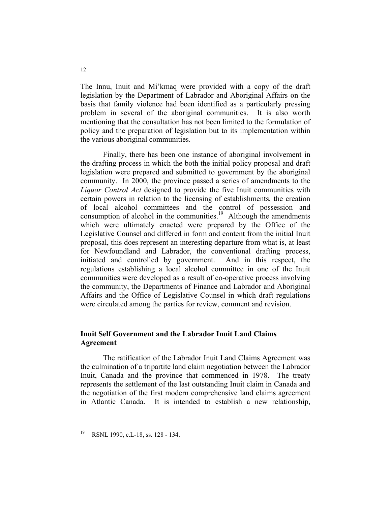The Innu, Inuit and Mi'kmaq were provided with a copy of the draft legislation by the Department of Labrador and Aboriginal Affairs on the basis that family violence had been identified as a particularly pressing problem in several of the aboriginal communities. It is also worth mentioning that the consultation has not been limited to the formulation of policy and the preparation of legislation but to its implementation within the various aboriginal communities.

 Finally, there has been one instance of aboriginal involvement in the drafting process in which the both the initial policy proposal and draft legislation were prepared and submitted to government by the aboriginal community. In 2000, the province passed a series of amendments to the *Liquor Control Act* designed to provide the five Inuit communities with certain powers in relation to the licensing of establishments, the creation of local alcohol committees and the control of possession and consumption of alcohol in the communities.<sup>19</sup> Although the amendments which were ultimately enacted were prepared by the Office of the Legislative Counsel and differed in form and content from the initial Inuit proposal, this does represent an interesting departure from what is, at least for Newfoundland and Labrador, the conventional drafting process, initiated and controlled by government. And in this respect, the regulations establishing a local alcohol committee in one of the Inuit communities were developed as a result of co-operative process involving the community, the Departments of Finance and Labrador and Aboriginal Affairs and the Office of Legislative Counsel in which draft regulations were circulated among the parties for review, comment and revision.

## **Inuit Self Government and the Labrador Inuit Land Claims Agreement**

 The ratification of the Labrador Inuit Land Claims Agreement was the culmination of a tripartite land claim negotiation between the Labrador Inuit, Canada and the province that commenced in 1978. The treaty represents the settlement of the last outstanding Inuit claim in Canada and the negotiation of the first modern comprehensive land claims agreement in Atlantic Canada. It is intended to establish a new relationship,

RSNL 1990, c.L-18, ss. 128 - 134.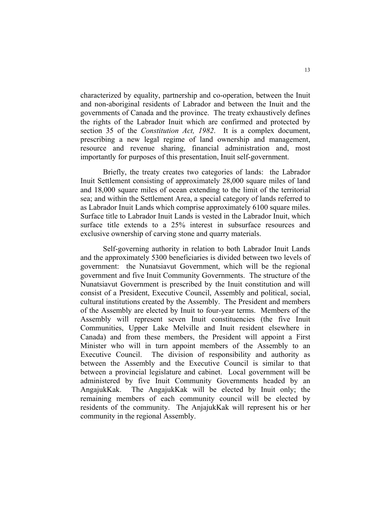characterized by equality, partnership and co-operation, between the Inuit and non-aboriginal residents of Labrador and between the Inuit and the governments of Canada and the province. The treaty exhaustively defines the rights of the Labrador Inuit which are confirmed and protected by section 35 of the *Constitution Act, 1982*. It is a complex document, prescribing a new legal regime of land ownership and management, resource and revenue sharing, financial administration and, most importantly for purposes of this presentation, Inuit self-government.

 Briefly, the treaty creates two categories of lands: the Labrador Inuit Settlement consisting of approximately 28,000 square miles of land and 18,000 square miles of ocean extending to the limit of the territorial sea; and within the Settlement Area, a special category of lands referred to as Labrador Inuit Lands which comprise approximately 6100 square miles. Surface title to Labrador Inuit Lands is vested in the Labrador Inuit, which surface title extends to a 25% interest in subsurface resources and exclusive ownership of carving stone and quarry materials.

 Self-governing authority in relation to both Labrador Inuit Lands and the approximately 5300 beneficiaries is divided between two levels of government: the Nunatsiavut Government, which will be the regional government and five Inuit Community Governments. The structure of the Nunatsiavut Government is prescribed by the Inuit constitution and will consist of a President, Executive Council, Assembly and political, social, cultural institutions created by the Assembly. The President and members of the Assembly are elected by Inuit to four-year terms. Members of the Assembly will represent seven Inuit constituencies (the five Inuit Communities, Upper Lake Melville and Inuit resident elsewhere in Canada) and from these members, the President will appoint a First Minister who will in turn appoint members of the Assembly to an Executive Council. The division of responsibility and authority as between the Assembly and the Executive Council is similar to that between a provincial legislature and cabinet. Local government will be administered by five Inuit Community Governments headed by an AngajukKak. The AngajukKak will be elected by Inuit only; the remaining members of each community council will be elected by residents of the community. The AnjajukKak will represent his or her community in the regional Assembly.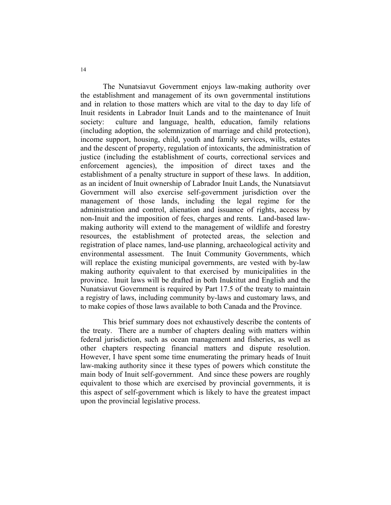The Nunatsiavut Government enjoys law-making authority over the establishment and management of its own governmental institutions and in relation to those matters which are vital to the day to day life of Inuit residents in Labrador Inuit Lands and to the maintenance of Inuit society: culture and language, health, education, family relations (including adoption, the solemnization of marriage and child protection), income support, housing, child, youth and family services, wills, estates and the descent of property, regulation of intoxicants, the administration of justice (including the establishment of courts, correctional services and enforcement agencies), the imposition of direct taxes and the establishment of a penalty structure in support of these laws. In addition, as an incident of Inuit ownership of Labrador Inuit Lands, the Nunatsiavut Government will also exercise self-government jurisdiction over the management of those lands, including the legal regime for the administration and control, alienation and issuance of rights, access by non-Inuit and the imposition of fees, charges and rents. Land-based lawmaking authority will extend to the management of wildlife and forestry resources, the establishment of protected areas, the selection and registration of place names, land-use planning, archaeological activity and environmental assessment. The Inuit Community Governments, which will replace the existing municipal governments, are vested with by-law making authority equivalent to that exercised by municipalities in the province. Inuit laws will be drafted in both Inuktitut and English and the Nunatsiavut Government is required by Part 17.5 of the treaty to maintain a registry of laws, including community by-laws and customary laws, and to make copies of those laws available to both Canada and the Province.

 This brief summary does not exhaustively describe the contents of the treaty. There are a number of chapters dealing with matters within federal jurisdiction, such as ocean management and fisheries, as well as other chapters respecting financial matters and dispute resolution. However, I have spent some time enumerating the primary heads of Inuit law-making authority since it these types of powers which constitute the main body of Inuit self-government. And since these powers are roughly equivalent to those which are exercised by provincial governments, it is this aspect of self-government which is likely to have the greatest impact upon the provincial legislative process.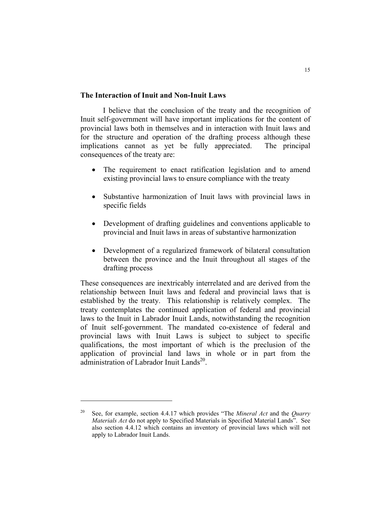## **The Interaction of Inuit and Non-Inuit Laws**

 I believe that the conclusion of the treaty and the recognition of Inuit self-government will have important implications for the content of provincial laws both in themselves and in interaction with Inuit laws and for the structure and operation of the drafting process although these implications cannot as yet be fully appreciated. The principal consequences of the treaty are:

- The requirement to enact ratification legislation and to amend existing provincial laws to ensure compliance with the treaty
- Substantive harmonization of Inuit laws with provincial laws in specific fields
- Development of drafting guidelines and conventions applicable to provincial and Inuit laws in areas of substantive harmonization
- Development of a regularized framework of bilateral consultation between the province and the Inuit throughout all stages of the drafting process

These consequences are inextricably interrelated and are derived from the relationship between Inuit laws and federal and provincial laws that is established by the treaty. This relationship is relatively complex. The treaty contemplates the continued application of federal and provincial laws to the Inuit in Labrador Inuit Lands, notwithstanding the recognition of Inuit self-government. The mandated co-existence of federal and provincial laws with Inuit Laws is subject to subject to specific qualifications, the most important of which is the preclusion of the application of provincial land laws in whole or in part from the administration of Labrador Inuit Lands<sup>20</sup>.

<sup>20</sup> See, for example, section 4.4.17 which provides "The *Mineral Act* and the *Quarry Materials Act* do not apply to Specified Materials in Specified Material Lands". See also section 4.4.12 which contains an inventory of provincial laws which will not apply to Labrador Inuit Lands.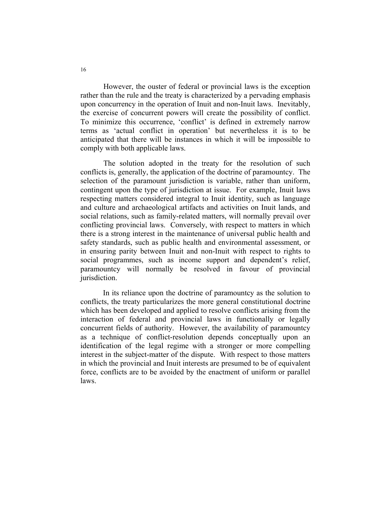However, the ouster of federal or provincial laws is the exception rather than the rule and the treaty is characterized by a pervading emphasis upon concurrency in the operation of Inuit and non-Inuit laws. Inevitably, the exercise of concurrent powers will create the possibility of conflict. To minimize this occurrence, 'conflict' is defined in extremely narrow terms as 'actual conflict in operation' but nevertheless it is to be anticipated that there will be instances in which it will be impossible to comply with both applicable laws.

The solution adopted in the treaty for the resolution of such conflicts is, generally, the application of the doctrine of paramountcy. The selection of the paramount jurisdiction is variable, rather than uniform, contingent upon the type of jurisdiction at issue. For example, Inuit laws respecting matters considered integral to Inuit identity, such as language and culture and archaeological artifacts and activities on Inuit lands, and social relations, such as family-related matters, will normally prevail over conflicting provincial laws. Conversely, with respect to matters in which there is a strong interest in the maintenance of universal public health and safety standards, such as public health and environmental assessment, or in ensuring parity between Inuit and non-Inuit with respect to rights to social programmes, such as income support and dependent's relief, paramountcy will normally be resolved in favour of provincial jurisdiction.

 In its reliance upon the doctrine of paramountcy as the solution to conflicts, the treaty particularizes the more general constitutional doctrine which has been developed and applied to resolve conflicts arising from the interaction of federal and provincial laws in functionally or legally concurrent fields of authority. However, the availability of paramountcy as a technique of conflict-resolution depends conceptually upon an identification of the legal regime with a stronger or more compelling interest in the subject-matter of the dispute. With respect to those matters in which the provincial and Inuit interests are presumed to be of equivalent force, conflicts are to be avoided by the enactment of uniform or parallel laws.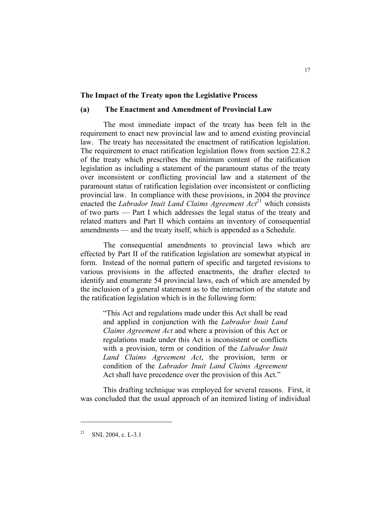#### **The Impact of the Treaty upon the Legislative Process**

#### **(a) The Enactment and Amendment of Provincial Law**

The most immediate impact of the treaty has been felt in the requirement to enact new provincial law and to amend existing provincial law. The treaty has necessitated the enactment of ratification legislation. The requirement to enact ratification legislation flows from section 22.8.2 of the treaty which prescribes the minimum content of the ratification legislation as including a statement of the paramount status of the treaty over inconsistent or conflicting provincial law and a statement of the paramount status of ratification legislation over inconsistent or conflicting provincial law. In compliance with these provisions, in 2004 the province enacted the *Labrador Inuit Land Claims Agreement Act*<sup>21</sup> which consists of two parts — Part I which addresses the legal status of the treaty and related matters and Part II which contains an inventory of consequential amendments — and the treaty itself, which is appended as a Schedule.

The consequential amendments to provincial laws which are effected by Part II of the ratification legislation are somewhat atypical in form. Instead of the normal pattern of specific and targeted revisions to various provisions in the affected enactments, the drafter elected to identify and enumerate 54 provincial laws, each of which are amended by the inclusion of a general statement as to the interaction of the statute and the ratification legislation which is in the following form:

"This Act and regulations made under this Act shall be read and applied in conjunction with the *Labrador Inuit Land Claims Agreement Act* and where a provision of this Act or regulations made under this Act is inconsistent or conflicts with a provision, term or condition of the *Labrador Inuit Land Claims Agreement Act*, the provision, term or condition of the *Labrador Inuit Land Claims Agreement*  Act shall have precedence over the provision of this Act."

This drafting technique was employed for several reasons. First, it was concluded that the usual approach of an itemized listing of individual

SNL 2004, c. L-3.1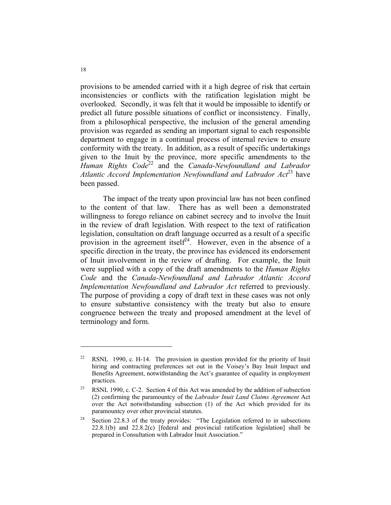provisions to be amended carried with it a high degree of risk that certain inconsistencies or conflicts with the ratification legislation might be overlooked. Secondly, it was felt that it would be impossible to identify or predict all future possible situations of conflict or inconsistency. Finally, from a philosophical perspective, the inclusion of the general amending provision was regarded as sending an important signal to each responsible department to engage in a continual process of internal review to ensure conformity with the treaty. In addition, as a result of specific undertakings given to the Inuit by the province, more specific amendments to the *Human Rights Code*22 and the *Canada-Newfoundland and Labrador*  Atlantic Accord Implementation Newfoundland and Labrador Act<sup>23</sup> have been passed.

 The impact of the treaty upon provincial law has not been confined to the content of that law. There has as well been a demonstrated willingness to forego reliance on cabinet secrecy and to involve the Inuit in the review of draft legislation. With respect to the text of ratification legislation, consultation on draft language occurred as a result of a specific provision in the agreement itself<sup>24</sup>. However, even in the absence of a specific direction in the treaty, the province has evidenced its endorsement of Inuit involvement in the review of drafting. For example, the Inuit were supplied with a copy of the draft amendments to the *Human Rights Code* and the *Canada-Newfoundland and Labrador Atlantic Accord Implementation Newfoundland and Labrador Act* referred to previously. The purpose of providing a copy of draft text in these cases was not only to ensure substantive consistency with the treaty but also to ensure congruence between the treaty and proposed amendment at the level of terminology and form.

<sup>&</sup>lt;sup>22</sup> RSNL 1990, c. H-14. The provision in question provided for the priority of Inuit hiring and contracting preferences set out in the Voisey's Bay Inuit Impact and Benefits Agreement, notwithstanding the Act's guarantee of equality in employment practices.

<sup>&</sup>lt;sup>23</sup> RSNL 1990, c. C-2. Section 4 of this Act was amended by the addition of subsection (2) confirming the paramountcy of the *Labrador Inuit Land Claims Agreement* Act over the Act notwithstanding subsection (1) of the Act which provided for its paramountcy over other provincial statutes.

<sup>&</sup>lt;sup>24</sup> Section 22.8.3 of the treaty provides: "The Legislation referred to in subsections 22.8.1(b) and 22.8.2(c) [federal and provincial ratification legislation] shall be prepared in Consultation with Labrador Inuit Association."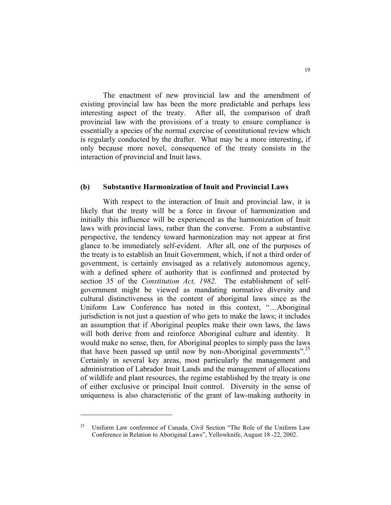The enactment of new provincial law and the amendment of existing provincial law has been the more predictable and perhaps less interesting aspect of the treaty. After all, the comparison of draft provincial law with the provisions of a treaty to ensure compliance is essentially a species of the normal exercise of constitutional review which is regularly conducted by the drafter. What may be a more interesting, if only because more novel, consequence of the treaty consists in the interaction of provincial and Inuit laws.

#### **(b) Substantive Harmonization of Inuit and Provincial Laws**

 With respect to the interaction of Inuit and provincial law, it is likely that the treaty will be a force in favour of harmonization and initially this influence will be experienced as the harmonization of Inuit laws with provincial laws, rather than the converse. From a substantive perspective, the tendency toward harmonization may not appear at first glance to be immediately self-evident. After all, one of the purposes of the treaty is to establish an Inuit Government, which, if not a third order of government, is certainly envisaged as a relatively autonomous agency, with a defined sphere of authority that is confirmed and protected by section 35 of the *Constitution Act, 1982*. The establishment of selfgovernment might be viewed as mandating normative diversity and cultural distinctiveness in the content of aboriginal laws since as the Uniform Law Conference has noted in this context, "…Aboriginal jurisdiction is not just a question of who gets to make the laws; it includes an assumption that if Aboriginal peoples make their own laws, the laws will both derive from and reinforce Aboriginal culture and identity. It would make no sense, then, for Aboriginal peoples to simply pass the laws that have been passed up until now by non-Aboriginal governments".<sup>25</sup> Certainly in several key areas, most particularly the management and administration of Labrador Inuit Lands and the management of allocations of wildlife and plant resources, the regime established by the treaty is one of either exclusive or principal Inuit control. Diversity in the sense of uniqueness is also characteristic of the grant of law-making authority in

<sup>25</sup> Uniform Law conference of Canada, Civil Section "The Role of the Uniform Law Conference in Relation to Aboriginal Laws", Yellowknife, August 18 -22, 2002.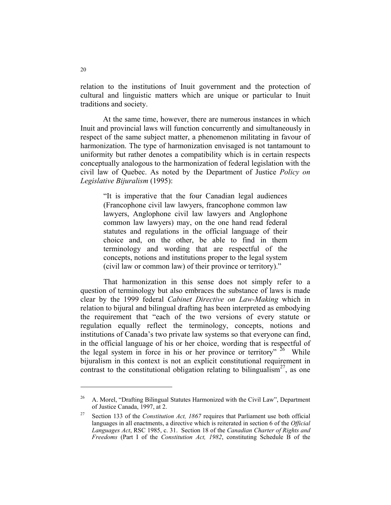relation to the institutions of Inuit government and the protection of cultural and linguistic matters which are unique or particular to Inuit traditions and society.

 At the same time, however, there are numerous instances in which Inuit and provincial laws will function concurrently and simultaneously in respect of the same subject matter, a phenomenon militating in favour of harmonization. The type of harmonization envisaged is not tantamount to uniformity but rather denotes a compatibility which is in certain respects conceptually analogous to the harmonization of federal legislation with the civil law of Quebec. As noted by the Department of Justice *Policy on Legislative Bijuralism* (1995):

"It is imperative that the four Canadian legal audiences (Francophone civil law lawyers, francophone common law lawyers, Anglophone civil law lawyers and Anglophone common law lawyers) may, on the one hand read federal statutes and regulations in the official language of their choice and, on the other, be able to find in them terminology and wording that are respectful of the concepts, notions and institutions proper to the legal system (civil law or common law) of their province or territory)."

That harmonization in this sense does not simply refer to a question of terminology but also embraces the substance of laws is made clear by the 1999 federal *Cabinet Directive on Law-Making* which in relation to bijural and bilingual drafting has been interpreted as embodying the requirement that "each of the two versions of every statute or regulation equally reflect the terminology, concepts, notions and institutions of Canada's two private law systems so that everyone can find, in the official language of his or her choice, wording that is respectful of the legal system in force in his or her province or territory"  $26$  While bijuralism in this context is not an explicit constitutional requirement in contrast to the constitutional obligation relating to bilingualism<sup>27</sup>, as one

<sup>&</sup>lt;sup>26</sup> A. Morel, "Drafting Bilingual Statutes Harmonized with the Civil Law", Department of Justice Canada, 1997, at 2.

<sup>27</sup> Section 133 of the *Constitution Act, 1867* requires that Parliament use both official languages in all enactments, a directive which is reiterated in section 6 of the *Official Languages Act*, RSC 1985, c. 31. Section 18 of the *Canadian Charter of Rights and Freedoms* (Part I of the *Constitution Act, 1982*, constituting Schedule B of the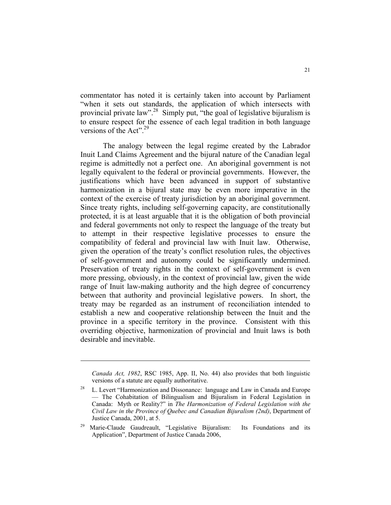commentator has noted it is certainly taken into account by Parliament "when it sets out standards, the application of which intersects with provincial private law".28 Simply put, "the goal of legislative bijuralism is to ensure respect for the essence of each legal tradition in both language versions of the Act". $^{29}$ 

 The analogy between the legal regime created by the Labrador Inuit Land Claims Agreement and the bijural nature of the Canadian legal regime is admittedly not a perfect one. An aboriginal government is not legally equivalent to the federal or provincial governments. However, the justifications which have been advanced in support of substantive harmonization in a bijural state may be even more imperative in the context of the exercise of treaty jurisdiction by an aboriginal government. Since treaty rights, including self-governing capacity, are constitutionally protected, it is at least arguable that it is the obligation of both provincial and federal governments not only to respect the language of the treaty but to attempt in their respective legislative processes to ensure the compatibility of federal and provincial law with Inuit law. Otherwise, given the operation of the treaty's conflict resolution rules, the objectives of self-government and autonomy could be significantly undermined. Preservation of treaty rights in the context of self-government is even more pressing, obviously, in the context of provincial law, given the wide range of Inuit law-making authority and the high degree of concurrency between that authority and provincial legislative powers. In short, the treaty may be regarded as an instrument of reconciliation intended to establish a new and cooperative relationship between the Inuit and the province in a specific territory in the province. Consistent with this overriding objective, harmonization of provincial and Inuit laws is both desirable and inevitable.

*Canada Act, 1982*, RSC 1985, App. II, No. 44) also provides that both linguistic versions of a statute are equally authoritative.

<sup>&</sup>lt;sup>28</sup> L. Levert "Harmonization and Dissonance: language and Law in Canada and Europe — The Cohabitation of Bilingualism and Bijuralism in Federal Legislation in Canada: Myth or Reality?" in *The Harmonization of Federal Legislation with the Civil Law in the Province of Quebec and Canadian Bijuralism (2nd)*, Department of Justice Canada, 2001, at 5.

Marie-Claude Gaudreault, "Legislative Bijuralism: Its Foundations and its Application", Department of Justice Canada 2006,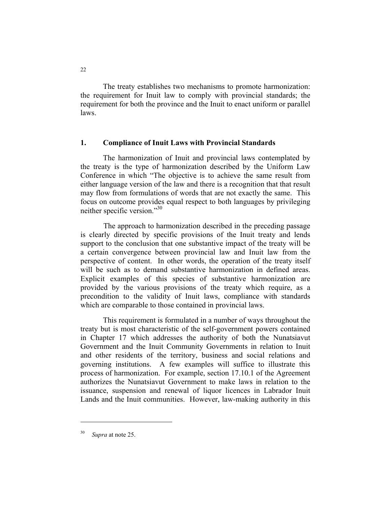The treaty establishes two mechanisms to promote harmonization: the requirement for Inuit law to comply with provincial standards; the requirement for both the province and the Inuit to enact uniform or parallel laws.

#### **1. Compliance of Inuit Laws with Provincial Standards**

 The harmonization of Inuit and provincial laws contemplated by the treaty is the type of harmonization described by the Uniform Law Conference in which "The objective is to achieve the same result from either language version of the law and there is a recognition that that result may flow from formulations of words that are not exactly the same. This focus on outcome provides equal respect to both languages by privileging neither specific version."30

The approach to harmonization described in the preceding passage is clearly directed by specific provisions of the Inuit treaty and lends support to the conclusion that one substantive impact of the treaty will be a certain convergence between provincial law and Inuit law from the perspective of content. In other words, the operation of the treaty itself will be such as to demand substantive harmonization in defined areas. Explicit examples of this species of substantive harmonization are provided by the various provisions of the treaty which require, as a precondition to the validity of Inuit laws, compliance with standards which are comparable to those contained in provincial laws.

 This requirement is formulated in a number of ways throughout the treaty but is most characteristic of the self-government powers contained in Chapter 17 which addresses the authority of both the Nunatsiavut Government and the Inuit Community Governments in relation to Inuit and other residents of the territory, business and social relations and governing institutions. A few examples will suffice to illustrate this process of harmonization. For example, section 17.10.1 of the Agreement authorizes the Nunatsiavut Government to make laws in relation to the issuance, suspension and renewal of liquor licences in Labrador Inuit Lands and the Inuit communities. However, law-making authority in this

Supra at note 25.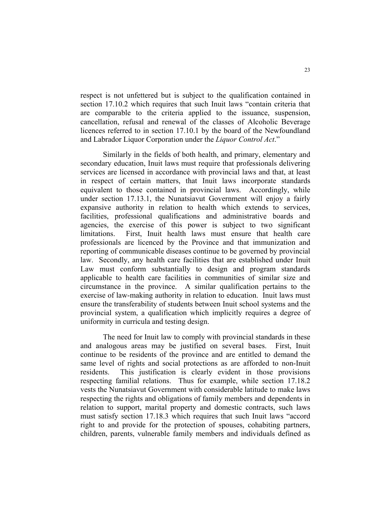respect is not unfettered but is subject to the qualification contained in section 17.10.2 which requires that such Inuit laws "contain criteria that are comparable to the criteria applied to the issuance, suspension, cancellation, refusal and renewal of the classes of Alcoholic Beverage licences referred to in section 17.10.1 by the board of the Newfoundland and Labrador Liquor Corporation under the *Liquor Control Act*."

 Similarly in the fields of both health, and primary, elementary and secondary education, Inuit laws must require that professionals delivering services are licensed in accordance with provincial laws and that, at least in respect of certain matters, that Inuit laws incorporate standards equivalent to those contained in provincial laws. Accordingly, while under section 17.13.1, the Nunatsiavut Government will enjoy a fairly expansive authority in relation to health which extends to services, facilities, professional qualifications and administrative boards and agencies, the exercise of this power is subject to two significant limitations. First, Inuit health laws must ensure that health care professionals are licenced by the Province and that immunization and reporting of communicable diseases continue to be governed by provincial law. Secondly, any health care facilities that are established under Inuit Law must conform substantially to design and program standards applicable to health care facilities in communities of similar size and circumstance in the province. A similar qualification pertains to the exercise of law-making authority in relation to education. Inuit laws must ensure the transferability of students between Inuit school systems and the provincial system, a qualification which implicitly requires a degree of uniformity in curricula and testing design.

 The need for Inuit law to comply with provincial standards in these and analogous areas may be justified on several bases. First, Inuit continue to be residents of the province and are entitled to demand the same level of rights and social protections as are afforded to non-Inuit residents. This justification is clearly evident in those provisions respecting familial relations. Thus for example, while section 17.18.2 vests the Nunatsiavut Government with considerable latitude to make laws respecting the rights and obligations of family members and dependents in relation to support, marital property and domestic contracts, such laws must satisfy section 17.18.3 which requires that such Inuit laws "accord right to and provide for the protection of spouses, cohabiting partners, children, parents, vulnerable family members and individuals defined as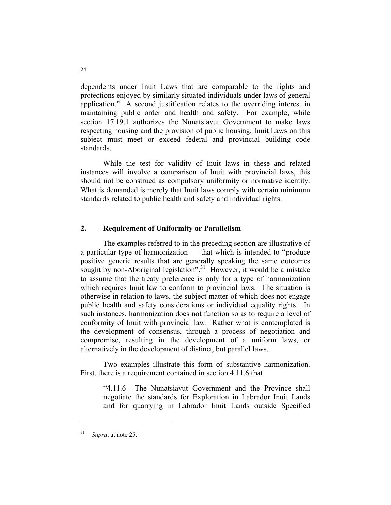dependents under Inuit Laws that are comparable to the rights and protections enjoyed by similarly situated individuals under laws of general application." A second justification relates to the overriding interest in maintaining public order and health and safety. For example, while section 17.19.1 authorizes the Nunatsiavut Government to make laws respecting housing and the provision of public housing, Inuit Laws on this subject must meet or exceed federal and provincial building code standards.

 While the test for validity of Inuit laws in these and related instances will involve a comparison of Inuit with provincial laws, this should not be construed as compulsory uniformity or normative identity. What is demanded is merely that Inuit laws comply with certain minimum standards related to public health and safety and individual rights.

## **2. Requirement of Uniformity or Parallelism**

 The examples referred to in the preceding section are illustrative of a particular type of harmonization — that which is intended to "produce positive generic results that are generally speaking the same outcomes sought by non-Aboriginal legislation".<sup>31</sup> However, it would be a mistake to assume that the treaty preference is only for a type of harmonization which requires Inuit law to conform to provincial laws. The situation is otherwise in relation to laws, the subject matter of which does not engage public health and safety considerations or individual equality rights. In such instances, harmonization does not function so as to require a level of conformity of Inuit with provincial law. Rather what is contemplated is the development of consensus, through a process of negotiation and compromise, resulting in the development of a uniform laws, or alternatively in the development of distinct, but parallel laws.

 Two examples illustrate this form of substantive harmonization. First, there is a requirement contained in section 4.11.6 that

"4.11.6 The Nunatsiavut Government and the Province shall negotiate the standards for Exploration in Labrador Inuit Lands and for quarrying in Labrador Inuit Lands outside Specified

<sup>31</sup> *Supra*, at note 25.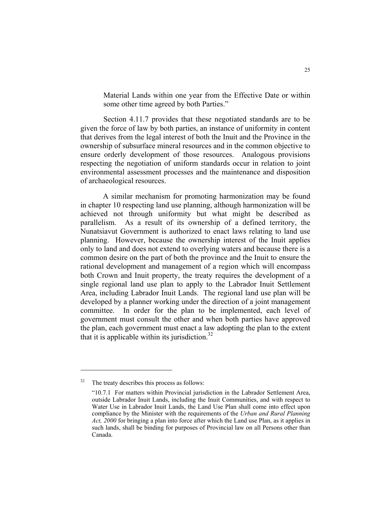Material Lands within one year from the Effective Date or within some other time agreed by both Parties."

Section 4.11.7 provides that these negotiated standards are to be given the force of law by both parties, an instance of uniformity in content that derives from the legal interest of both the Inuit and the Province in the ownership of subsurface mineral resources and in the common objective to ensure orderly development of those resources. Analogous provisions respecting the negotiation of uniform standards occur in relation to joint environmental assessment processes and the maintenance and disposition of archaeological resources.

 A similar mechanism for promoting harmonization may be found in chapter 10 respecting land use planning, although harmonization will be achieved not through uniformity but what might be described as parallelism. As a result of its ownership of a defined territory, the Nunatsiavut Government is authorized to enact laws relating to land use planning. However, because the ownership interest of the Inuit applies only to land and does not extend to overlying waters and because there is a common desire on the part of both the province and the Inuit to ensure the rational development and management of a region which will encompass both Crown and Inuit property, the treaty requires the development of a single regional land use plan to apply to the Labrador Inuit Settlement Area, including Labrador Inuit Lands. The regional land use plan will be developed by a planner working under the direction of a joint management committee. In order for the plan to be implemented, each level of government must consult the other and when both parties have approved the plan, each government must enact a law adopting the plan to the extent that it is applicable within its jurisdiction. $32$ 

<sup>&</sup>lt;sup>32</sup> The treaty describes this process as follows:

 <sup>&</sup>quot;10.7.1 For matters within Provincial jurisdiction in the Labrador Settlement Area, outside Labrador Inuit Lands, including the Inuit Communities, and with respect to Water Use in Labrador Inuit Lands, the Land Use Plan shall come into effect upon compliance by the Minister with the requirements of the *Urban and Rural Planning Act, 2000* for bringing a plan into force after which the Land use Plan, as it applies in such lands, shall be binding for purposes of Provincial law on all Persons other than Canada.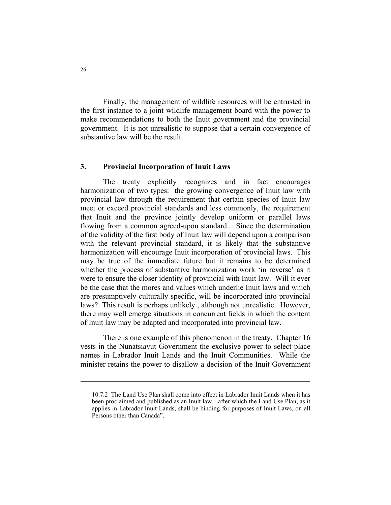Finally, the management of wildlife resources will be entrusted in the first instance to a joint wildlife management board with the power to make recommendations to both the Inuit government and the provincial government. It is not unrealistic to suppose that a certain convergence of substantive law will be the result.

#### **3. Provincial Incorporation of Inuit Laws**

 The treaty explicitly recognizes and in fact encourages harmonization of two types: the growing convergence of Inuit law with provincial law through the requirement that certain species of Inuit law meet or exceed provincial standards and less commonly, the requirement that Inuit and the province jointly develop uniform or parallel laws flowing from a common agreed-upon standard.. Since the determination of the validity of the first body of Inuit law will depend upon a comparison with the relevant provincial standard, it is likely that the substantive harmonization will encourage Inuit incorporation of provincial laws. This may be true of the immediate future but it remains to be determined whether the process of substantive harmonization work 'in reverse' as it were to ensure the closer identity of provincial with Inuit law. Will it ever be the case that the mores and values which underlie Inuit laws and which are presumptively culturally specific, will be incorporated into provincial laws? This result is perhaps unlikely , although not unrealistic. However, there may well emerge situations in concurrent fields in which the content of Inuit law may be adapted and incorporated into provincial law.

 There is one example of this phenomenon in the treaty. Chapter 16 vests in the Nunatsiavut Government the exclusive power to select place names in Labrador Inuit Lands and the Inuit Communities. While the minister retains the power to disallow a decision of the Inuit Government

 <sup>10.7.2</sup> The Land Use Plan shall come into effect in Labrador Inuit Lands when it has been proclaimed and published as an Inuit law…after which the Land Use Plan, as it applies in Labrador Inuit Lands, shall be binding for purposes of Inuit Laws, on all Persons other than Canada".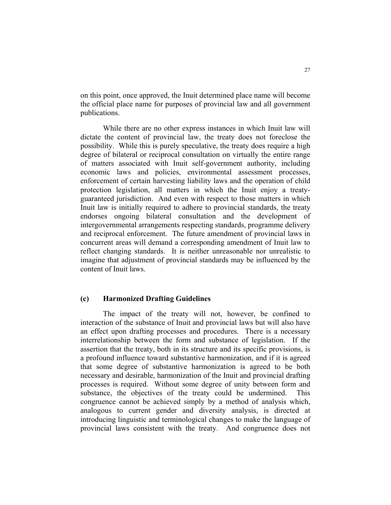on this point, once approved, the Inuit determined place name will become the official place name for purposes of provincial law and all government publications.

 While there are no other express instances in which Inuit law will dictate the content of provincial law, the treaty does not foreclose the possibility. While this is purely speculative, the treaty does require a high degree of bilateral or reciprocal consultation on virtually the entire range of matters associated with Inuit self-government authority, including economic laws and policies, environmental assessment processes, enforcement of certain harvesting liability laws and the operation of child protection legislation, all matters in which the Inuit enjoy a treatyguaranteed jurisdiction. And even with respect to those matters in which Inuit law is initially required to adhere to provincial standards, the treaty endorses ongoing bilateral consultation and the development of intergovernmental arrangements respecting standards, programme delivery and reciprocal enforcement. The future amendment of provincial laws in concurrent areas will demand a corresponding amendment of Inuit law to reflect changing standards. It is neither unreasonable nor unrealistic to imagine that adjustment of provincial standards may be influenced by the content of Inuit laws.

## **(c) Harmonized Drafting Guidelines**

 The impact of the treaty will not, however, be confined to interaction of the substance of Inuit and provincial laws but will also have an effect upon drafting processes and procedures. There is a necessary interrelationship between the form and substance of legislation. If the assertion that the treaty, both in its structure and its specific provisions, is a profound influence toward substantive harmonization, and if it is agreed that some degree of substantive harmonization is agreed to be both necessary and desirable, harmonization of the Inuit and provincial drafting processes is required. Without some degree of unity between form and substance, the objectives of the treaty could be undermined. This congruence cannot be achieved simply by a method of analysis which, analogous to current gender and diversity analysis, is directed at introducing linguistic and terminological changes to make the language of provincial laws consistent with the treaty. And congruence does not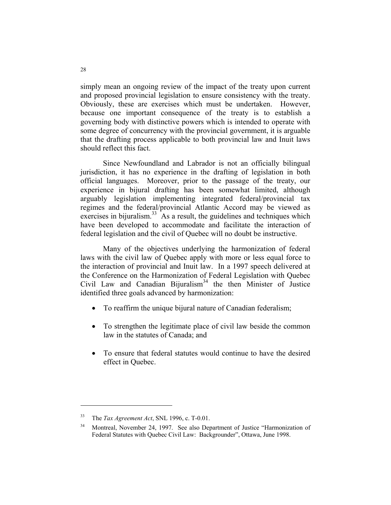simply mean an ongoing review of the impact of the treaty upon current and proposed provincial legislation to ensure consistency with the treaty. Obviously, these are exercises which must be undertaken. However, because one important consequence of the treaty is to establish a governing body with distinctive powers which is intended to operate with some degree of concurrency with the provincial government, it is arguable that the drafting process applicable to both provincial law and Inuit laws should reflect this fact.

 Since Newfoundland and Labrador is not an officially bilingual jurisdiction, it has no experience in the drafting of legislation in both official languages. Moreover, prior to the passage of the treaty, our experience in bijural drafting has been somewhat limited, although arguably legislation implementing integrated federal/provincial tax regimes and the federal/provincial Atlantic Accord may be viewed as exercises in bijuralism. $33 \text{ A}$ s a result, the guidelines and techniques which have been developed to accommodate and facilitate the interaction of federal legislation and the civil of Quebec will no doubt be instructive.

 Many of the objectives underlying the harmonization of federal laws with the civil law of Quebec apply with more or less equal force to the interaction of provincial and Inuit law. In a 1997 speech delivered at the Conference on the Harmonization of Federal Legislation with Quebec Civil Law and Canadian Bijuralism<sup>34</sup> the then Minister of Justice identified three goals advanced by harmonization:

- To reaffirm the unique bijural nature of Canadian federalism;
- To strengthen the legitimate place of civil law beside the common law in the statutes of Canada; and
- To ensure that federal statutes would continue to have the desired effect in Quebec.

<sup>33</sup> The *Tax Agreement Act*, SNL 1996, c. T-0.01.

<sup>&</sup>lt;sup>34</sup> Montreal, November 24, 1997. See also Department of Justice "Harmonization of Federal Statutes with Quebec Civil Law: Backgrounder", Ottawa, June 1998.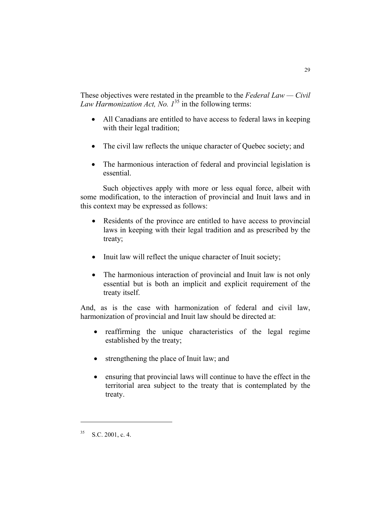These objectives were restated in the preamble to the *Federal Law — Civil Law Harmonization Act, No. 1*35 in the following terms:

- All Canadians are entitled to have access to federal laws in keeping with their legal tradition;
- The civil law reflects the unique character of Quebec society; and
- The harmonious interaction of federal and provincial legislation is essential.

 Such objectives apply with more or less equal force, albeit with some modification, to the interaction of provincial and Inuit laws and in this context may be expressed as follows:

- Residents of the province are entitled to have access to provincial laws in keeping with their legal tradition and as prescribed by the treaty;
- Inuit law will reflect the unique character of Inuit society;
- The harmonious interaction of provincial and Inuit law is not only essential but is both an implicit and explicit requirement of the treaty itself.

And, as is the case with harmonization of federal and civil law, harmonization of provincial and Inuit law should be directed at:

- reaffirming the unique characteristics of the legal regime established by the treaty;
- strengthening the place of Inuit law; and
- ensuring that provincial laws will continue to have the effect in the territorial area subject to the treaty that is contemplated by the treaty.

 $35$  S.C. 2001, c. 4.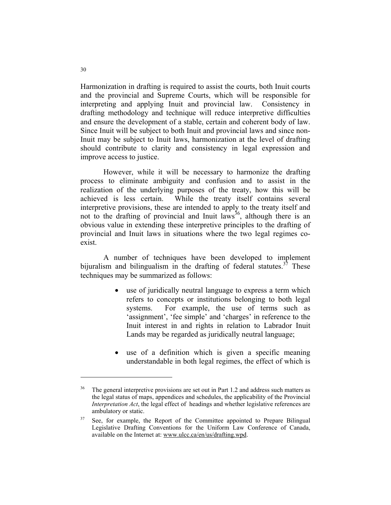Harmonization in drafting is required to assist the courts, both Inuit courts and the provincial and Supreme Courts, which will be responsible for interpreting and applying Inuit and provincial law. Consistency in drafting methodology and technique will reduce interpretive difficulties and ensure the development of a stable, certain and coherent body of law. Since Inuit will be subject to both Inuit and provincial laws and since non-Inuit may be subject to Inuit laws, harmonization at the level of drafting should contribute to clarity and consistency in legal expression and improve access to justice.

However, while it will be necessary to harmonize the drafting process to eliminate ambiguity and confusion and to assist in the realization of the underlying purposes of the treaty, how this will be achieved is less certain. While the treaty itself contains several interpretive provisions, these are intended to apply to the treaty itself and not to the drafting of provincial and Inuit  $\frac{1}{4}$  although there is an obvious value in extending these interpretive principles to the drafting of provincial and Inuit laws in situations where the two legal regimes coexist.

A number of techniques have been developed to implement bijuralism and bilingualism in the drafting of federal statutes.<sup>37</sup> These techniques may be summarized as follows:

- use of juridically neutral language to express a term which refers to concepts or institutions belonging to both legal systems. For example, the use of terms such as 'assignment', 'fee simple' and 'charges' in reference to the Inuit interest in and rights in relation to Labrador Inuit Lands may be regarded as juridically neutral language;
- use of a definition which is given a specific meaning understandable in both legal regimes, the effect of which is

 $36$  The general interpretive provisions are set out in Part 1.2 and address such matters as the legal status of maps, appendices and schedules, the applicability of the Provincial *Interpretation Act*, the legal effect of headings and whether legislative references are ambulatory or static.

 $37$  See, for example, the Report of the Committee appointed to Prepare Bilingual Legislative Drafting Conventions for the Uniform Law Conference of Canada, available on the Internet at: www.ulcc.ca/en/us/drafting.wpd.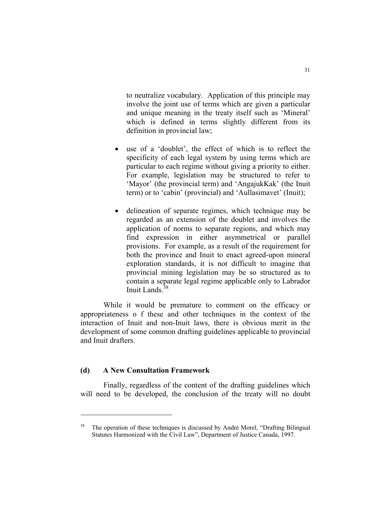to neutralize vocabulary. Application of this principle may involve the joint use of terms which are given a particular and unique meaning in the treaty itself such as 'Mineral' which is defined in terms slightly different from its definition in provincial law;

- use of a 'doublet', the effect of which is to reflect the specificity of each legal system by using terms which are particular to each regime without giving a priority to either. For example, legislation may be structured to refer to 'Mayor' (the provincial term) and 'AngajukKak' (the Inuit term) or to 'cabin' (provincial) and 'Aullasimavet' (Inuit);
- delineation of separate regimes, which technique may be regarded as an extension of the doublet and involves the application of norms to separate regions, and which may find expression in either asymmetrical or parallel provisions. For example, as a result of the requirement for both the province and Inuit to enact agreed-upon mineral exploration standards, it is not difficult to imagine that provincial mining legislation may be so structured as to contain a separate legal regime applicable only to Labrador Inuit Lands<sup>38</sup>

While it would be premature to comment on the efficacy or appropriateness o f these and other techniques in the context of the interaction of Inuit and non-Inuit laws, there is obvious merit in the development of some common drafting guidelines applicable to provincial and Inuit drafters.

## **(d) A New Consultation Framework**

Finally, regardless of the content of the drafting guidelines which will need to be developed, the conclusion of the treaty will no doubt

The operation of these techniques is discussed by André Morel, "Drafting Bilingual Statutes Harmonized with the Civil Law", Department of Justice Canada, 1997.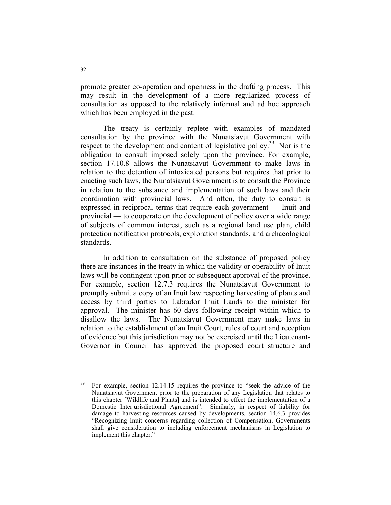promote greater co-operation and openness in the drafting process. This may result in the development of a more regularized process of consultation as opposed to the relatively informal and ad hoc approach which has been employed in the past.

 The treaty is certainly replete with examples of mandated consultation by the province with the Nunatsiavut Government with respect to the development and content of legislative policy.<sup>39</sup> Nor is the obligation to consult imposed solely upon the province. For example, section 17.10.8 allows the Nunatsiavut Government to make laws in relation to the detention of intoxicated persons but requires that prior to enacting such laws, the Nunatsiavut Government is to consult the Province in relation to the substance and implementation of such laws and their coordination with provincial laws. And often, the duty to consult is expressed in reciprocal terms that require each government — Inuit and provincial — to cooperate on the development of policy over a wide range of subjects of common interest, such as a regional land use plan, child protection notification protocols, exploration standards, and archaeological standards.

 In addition to consultation on the substance of proposed policy there are instances in the treaty in which the validity or operability of Inuit laws will be contingent upon prior or subsequent approval of the province. For example, section 12.7.3 requires the Nunatsiavut Government to promptly submit a copy of an Inuit law respecting harvesting of plants and access by third parties to Labrador Inuit Lands to the minister for approval. The minister has 60 days following receipt within which to disallow the laws. The Nunatsiavut Government may make laws in relation to the establishment of an Inuit Court, rules of court and reception of evidence but this jurisdiction may not be exercised until the Lieutenant-Governor in Council has approved the proposed court structure and

<sup>39</sup> For example, section 12.14.15 requires the province to "seek the advice of the Nunatsiavut Government prior to the preparation of any Legislation that relates to this chapter [Wildlife and Plants] and is intended to effect the implementation of a Domestic Interjurisdictional Agreement". Similarly, in respect of liability for damage to harvesting resources caused by developments, section 14.6.3 provides "Recognizing Inuit concerns regarding collection of Compensation, Governments shall give consideration to including enforcement mechanisms in Legislation to implement this chapter."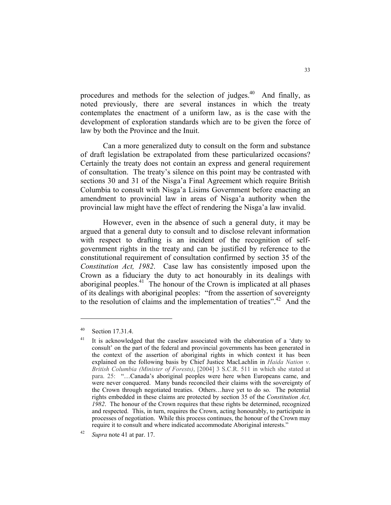procedures and methods for the selection of judges.<sup>40</sup> And finally, as noted previously, there are several instances in which the treaty contemplates the enactment of a uniform law, as is the case with the development of exploration standards which are to be given the force of law by both the Province and the Inuit.

 Can a more generalized duty to consult on the form and substance of draft legislation be extrapolated from these particularized occasions? Certainly the treaty does not contain an express and general requirement of consultation. The treaty's silence on this point may be contrasted with sections 30 and 31 of the Nisga'a Final Agreement which require British Columbia to consult with Nisga'a Lisims Government before enacting an amendment to provincial law in areas of Nisga'a authority when the provincial law might have the effect of rendering the Nisga'a law invalid.

 However, even in the absence of such a general duty, it may be argued that a general duty to consult and to disclose relevant information with respect to drafting is an incident of the recognition of selfgovernment rights in the treaty and can be justified by reference to the constitutional requirement of consultation confirmed by section 35 of the *Constitution Act, 1982*. Case law has consistently imposed upon the Crown as a fiduciary the duty to act honourably in its dealings with aboriginal peoples.<sup>41</sup> The honour of the Crown is implicated at all phases of its dealings with aboriginal peoples: "from the assertion of sovereignty to the resolution of claims and the implementation of treaties".42 And the

<sup>40</sup> Section 17.31.4.

<sup>&</sup>lt;sup>41</sup> It is acknowledged that the caselaw associated with the elaboration of a 'duty to consult' on the part of the federal and provincial governments has been generated in the context of the assertion of aboriginal rights in which context it has been explained on the following basis by Chief Justice MacLachlin in *Haida Nation v*. *British Columbia (Minister of Forests)*, [2004] 3 S.C.R. 511 in which she stated at para. 25: "…Canada's aboriginal peoples were here when Europeans came, and were never conquered. Many bands reconciled their claims with the sovereignty of the Crown through negotiated treaties. Others…have yet to do so. The potential rights embedded in these claims are protected by section 35 of the *Constitution Act, 1982*. The honour of the Crown requires that these rights be determined, recognized and respected. This, in turn, requires the Crown, acting honourably, to participate in processes of negotiation. While this process continues, the honour of the Crown may require it to consult and where indicated accommodate Aboriginal interests."

<sup>42</sup> *Supra* note 41 at par. 17.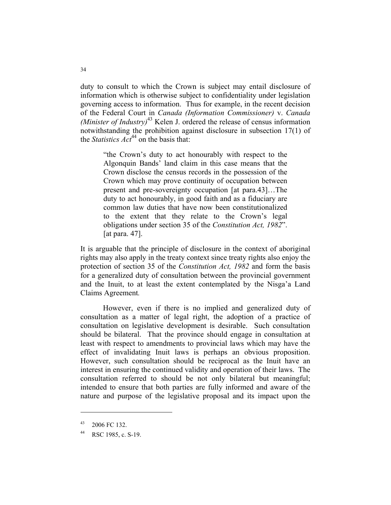duty to consult to which the Crown is subject may entail disclosure of information which is otherwise subject to confidentiality under legislation governing access to information. Thus for example, in the recent decision of the Federal Court in *Canada (Information Commissioner)* v. *Canada (Minister of Industry)*<sup>43</sup> Kelen J. ordered the release of census information notwithstanding the prohibition against disclosure in subsection 17(1) of the *Statistics*  $Act^{44}$  on the basis that:

> "the Crown's duty to act honourably with respect to the Algonquin Bands' land claim in this case means that the Crown disclose the census records in the possession of the Crown which may prove continuity of occupation between present and pre-sovereignty occupation [at para.43]…The duty to act honourably, in good faith and as a fiduciary are common law duties that have now been constitutionalized to the extent that they relate to the Crown's legal obligations under section 35 of the *Constitution Act, 1982*". [at para. 47].

It is arguable that the principle of disclosure in the context of aboriginal rights may also apply in the treaty context since treaty rights also enjoy the protection of section 35 of the *Constitution Act, 1982* and form the basis for a generalized duty of consultation between the provincial government and the Inuit, to at least the extent contemplated by the Nisga'a Land Claims Agreement*.*

 However, even if there is no implied and generalized duty of consultation as a matter of legal right, the adoption of a practice of consultation on legislative development is desirable. Such consultation should be bilateral. That the province should engage in consultation at least with respect to amendments to provincial laws which may have the effect of invalidating Inuit laws is perhaps an obvious proposition. However, such consultation should be reciprocal as the Inuit have an interest in ensuring the continued validity and operation of their laws. The consultation referred to should be not only bilateral but meaningful; intended to ensure that both parties are fully informed and aware of the nature and purpose of the legislative proposal and its impact upon the

 $43$  2006 FC 132.

<sup>44</sup> RSC 1985, c. S-19.